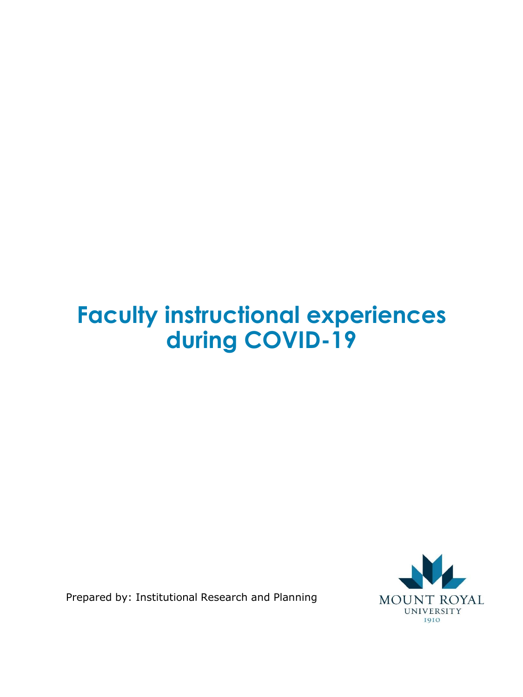# **Faculty instructional experiences during COVID-19**

Prepared by: Institutional Research and Planning

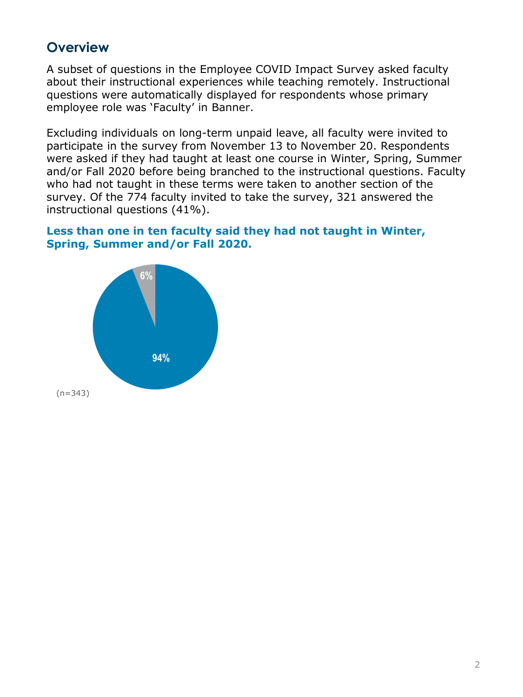# **Overview**

A subset of questions in the Employee COVID Impact Survey asked faculty about their instructional experiences while teaching remotely. Instructional questions were automatically displayed for respondents whose primary employee role was 'Faculty' in Banner.

Excluding individuals on long-term unpaid leave, all faculty were invited to participate in the survey from November 13 to November 20. Respondents were asked if they had taught at least one course in Winter, Spring, Summer and/or Fall 2020 before being branched to the instructional questions. Faculty who had not taught in these terms were taken to another section of the survey. Of the 774 faculty invited to take the survey, 321 answered the instructional questions (41%).

## **Less than one in ten faculty said they had not taught in Winter, Spring, Summer and/or Fall 2020.**

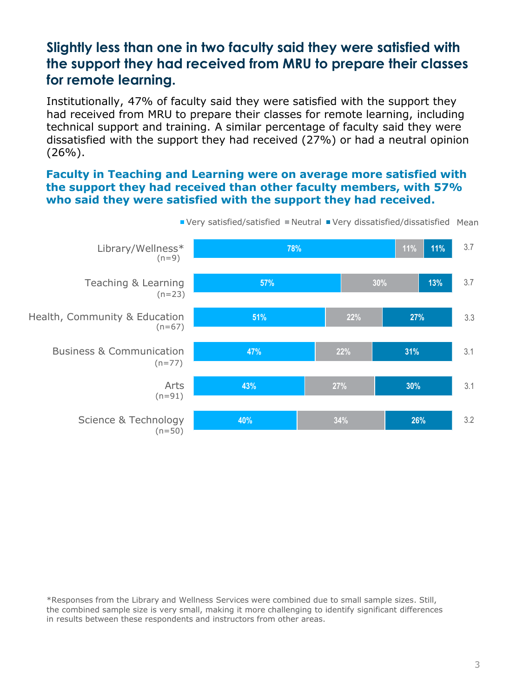## **Slightly less than one in two faculty said they were satisfied with the support they had received from MRU to prepare their classes for remote learning.**

Institutionally, 47% of faculty said they were satisfied with the support they had received from MRU to prepare their classes for remote learning, including technical support and training. A similar percentage of faculty said they were dissatisfied with the support they had received (27%) or had a neutral opinion (26%).

#### **Faculty in Teaching and Learning were on average more satisfied with the support they had received than other faculty members, with 57% who said they were satisfied with the support they had received.**



Very satisfied/satisfied = Neutral = Very dissatisfied/dissatisfied Mean

\*Responses from the Library and Wellness Services were combined due to small sample sizes. Still, the combined sample size is very small, making it more challenging to identify significant differences in results between these respondents and instructors from other areas.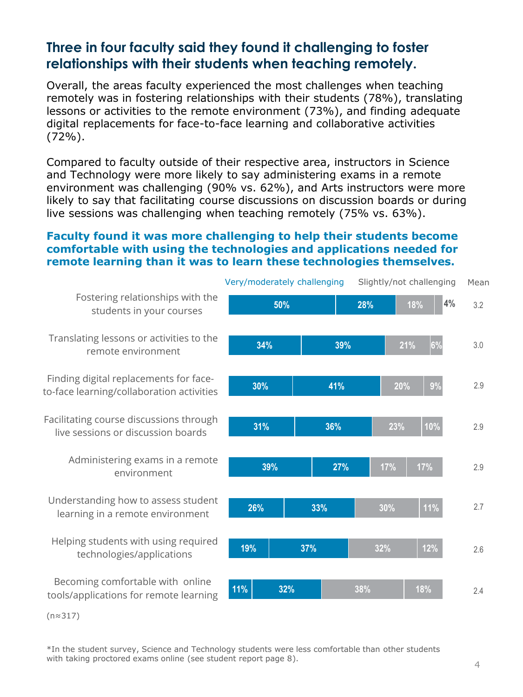## **Three in four faculty said they found it challenging to foster relationships with their students when teaching remotely.**

Overall, the areas faculty experienced the most challenges when teaching remotely was in fostering relationships with their students (78%), translating lessons or activities to the remote environment (73%), and finding adequate digital replacements for face-to-face learning and collaborative activities (72%).

Compared to faculty outside of their respective area, instructors in Science and Technology were more likely to say administering exams in a remote environment was challenging (90% vs. 62%), and Arts instructors were more likely to say that facilitating course discussions on discussion boards or during live sessions was challenging when teaching remotely (75% vs. 63%).

## **Faculty found it was more challenging to help their students become comfortable with using the technologies and applications needed for remote learning than it was to learn these technologies themselves.**



(n≈317)

\*In the student survey, Science and Technology students were less comfortable than other students with taking proctored exams online (see student report page 8).